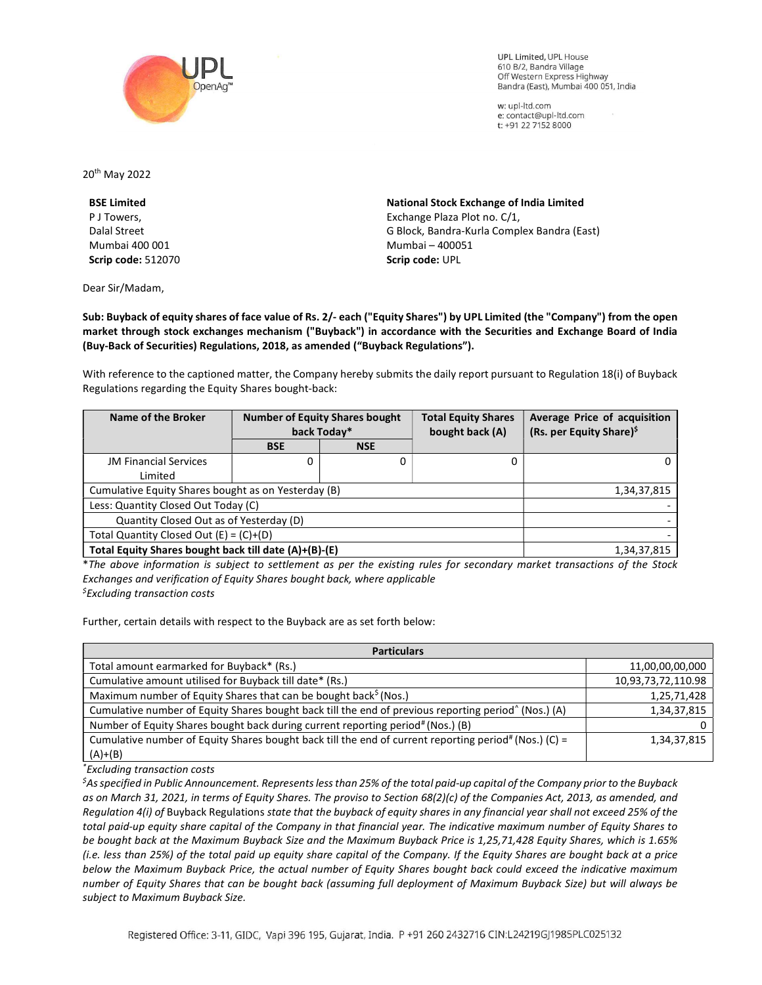

**UPL Limited. UPL House** 610 B/2, Bandra Village Off Western Express Highway Bandra (East), Mumbai 400 051, India

w: upl-ltd.com e: contact@upl-ltd.com t: +91 22 7152 8000

20th May 2022

BSE Limited P J Towers, Dalal Street Mumbai 400 001 Scrip code: 512070

Dear Sir/Madam,

National Stock Exchange of India Limited Exchange Plaza Plot no. C/1, G Block, Bandra-Kurla Complex Bandra (East) Mumbai – 400051 Scrip code: UPL

Sub: Buyback of equity shares of face value of Rs. 2/- each ("Equity Shares") by UPL Limited (the "Company") from the open market through stock exchanges mechanism ("Buyback") in accordance with the Securities and Exchange Board of India (Buy-Back of Securities) Regulations, 2018, as amended ("Buyback Regulations").

With reference to the captioned matter, the Company hereby submits the daily report pursuant to Regulation 18(i) of Buyback Regulations regarding the Equity Shares bought-back:

| Name of the Broker                                    | <b>Number of Equity Shares bought</b><br>back Today* |            | <b>Total Equity Shares</b><br>bought back (A) | Average Price of acquisition<br>(Rs. per Equity Share) <sup>\$</sup> |
|-------------------------------------------------------|------------------------------------------------------|------------|-----------------------------------------------|----------------------------------------------------------------------|
|                                                       | <b>BSE</b>                                           | <b>NSE</b> |                                               |                                                                      |
| <b>JM Financial Services</b>                          | 0                                                    | 0          | 0                                             | 0                                                                    |
| Limited                                               |                                                      |            |                                               |                                                                      |
| Cumulative Equity Shares bought as on Yesterday (B)   |                                                      |            |                                               | 1,34,37,815                                                          |
| Less: Quantity Closed Out Today (C)                   |                                                      |            |                                               |                                                                      |
| Quantity Closed Out as of Yesterday (D)               |                                                      |            |                                               |                                                                      |
| Total Quantity Closed Out $(E) = (C)+(D)$             |                                                      |            |                                               |                                                                      |
| Total Equity Shares bought back till date (A)+(B)-(E) |                                                      |            |                                               | 1,34,37,815                                                          |

\*The above information is subject to settlement as per the existing rules for secondary market transactions of the Stock Exchanges and verification of Equity Shares bought back, where applicable  $<sup>5</sup>$ Excluding transaction costs</sup>

Further, certain details with respect to the Buyback are as set forth below:

| <b>Particulars</b>                                                                                                |                    |  |  |  |
|-------------------------------------------------------------------------------------------------------------------|--------------------|--|--|--|
| Total amount earmarked for Buyback* (Rs.)                                                                         | 11,00,00,00,000    |  |  |  |
| Cumulative amount utilised for Buyback till date* (Rs.)                                                           | 10,93,73,72,110.98 |  |  |  |
| Maximum number of Equity Shares that can be bought back <sup>\$</sup> (Nos.)                                      | 1,25,71,428        |  |  |  |
| Cumulative number of Equity Shares bought back till the end of previous reporting period <sup>^</sup> (Nos.) (A)  | 1,34,37,815        |  |  |  |
| Number of Equity Shares bought back during current reporting period# (Nos.) (B)                                   |                    |  |  |  |
| Cumulative number of Equity Shares bought back till the end of current reporting period <sup>#</sup> (Nos.) (C) = | 1,34,37,815        |  |  |  |
| $(A)+(B)$                                                                                                         |                    |  |  |  |

\*Excluding transaction costs

 ${}^5$ As specified in Public Announcement. Represents less than 25% of the total paid-up capital of the Company prior to the Buyback as on March 31, 2021, in terms of Equity Shares. The proviso to Section 68(2)(c) of the Companies Act, 2013, as amended, and Regulation 4(i) of Buyback Regulations state that the buyback of equity shares in any financial year shall not exceed 25% of the total paid-up equity share capital of the Company in that financial year. The indicative maximum number of Equity Shares to be bought back at the Maximum Buyback Size and the Maximum Buyback Price is 1,25,71,428 Equity Shares, which is 1.65% (i.e. less than 25%) of the total paid up equity share capital of the Company. If the Equity Shares are bought back at a price below the Maximum Buyback Price, the actual number of Equity Shares bought back could exceed the indicative maximum number of Equity Shares that can be bought back (assuming full deployment of Maximum Buyback Size) but will always be subject to Maximum Buyback Size.